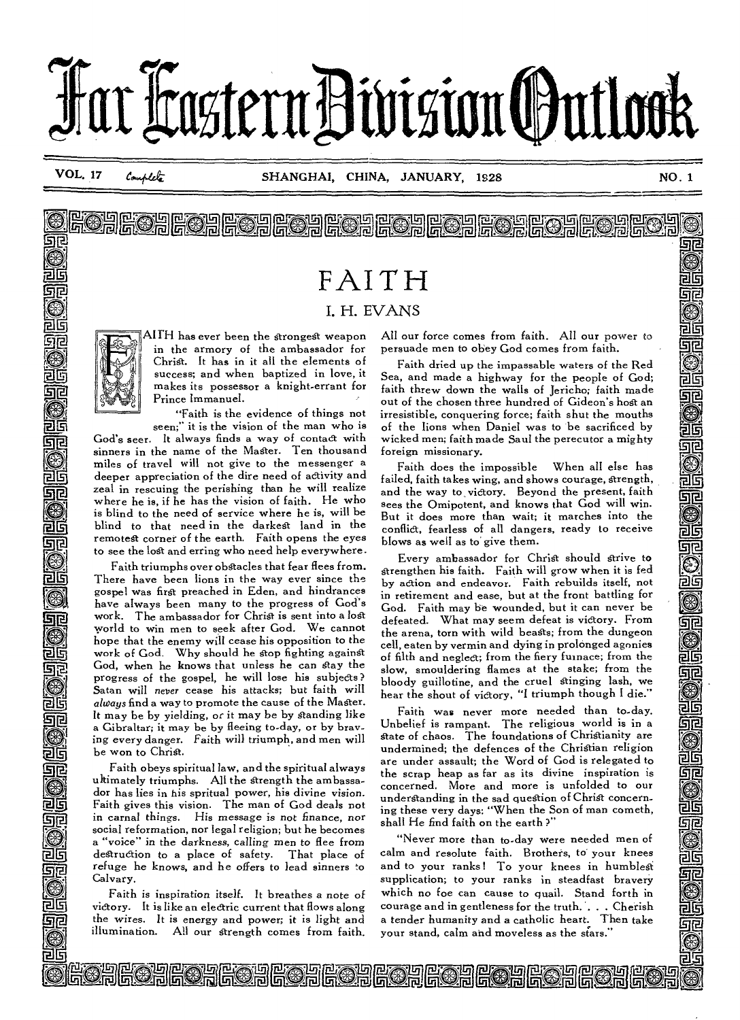

**EODEORGEORGEORGE** 

<u>sje</u>

G

215

可

जाट

26

මිව

26

Ε

e oaroeroad

# **FAITH I. H. EVANS**



已亏 ङाट

已时

जाट

司店

जर

5112

जर

56

512

215

9Ŀ

els जार

त्राद

**AITH has ever been the StrongeSt weapon in the armory of the ambassador for Christ. It has in it all the elements of success; and when baptized in love, it makes its possessor a knight-errant for Prince Immanuel.** 

**"Faith is the evidence of things not seen;" it is the vision of the man who is** 

**God's seer. It always finds a way of contact with sinners in the name of the Master. Ten thousand miles of travel will not give to the messenger a deeper appreciation of the dire need of activity and zeal in rescuing the perishing than he will realize where he is, if he has the vision of faith. He who is blind to the need of service where he is, will be blind to that need in the darkest land in the remotest corner of the earth. Faith opens the eyes to see the lost and erring who need help everywhere.** 

**Faith triumphs over obstacles that fear flees from. There have been lions in the way ever since the gospel was first preached in Eden, and hindrances have always been many to the progress of God's work. The ambassador for Christ is sent into a lost world to win men to seek after God. We cannot hope that the enemy will cease his opposition to the work of God. Why should he Stop fighting against God, when he knows that unless he can stay the progress of the gospel, he will lose his subjects? Satan will** *never* **cease his attacks; but faith will**  *always* **find a way to promote the cause of the Mager. It may be by yielding, or it may be by** *standing* **like a Gibraltar; it may be by fleeing to-day, or by brav***ing* **every danger. Faith will triumph, and men will be won to Christ.** 

**Faith obeys spiritual law, and the spiritual always ultimately triumphs. All the Strength the ambassador has lies in his spritual power, his** *divine vision.*  **Faith gives this vision. The man of God deals not in carnal things. His message is not finance, nor social reformation, nor legal religion; but he becomes a "voice" in the darkness,** *calling* **men to flee from destruction to a place of safety. That place of**  *refuge* **he knows, and he offers to lead sinners to Calvary.** 

**Faith is inspiration itself. It breathes a note of victory. It is like an electric current that flows along the** *wires. It is* **energy and power; it is light and illumination. All our Strength comes from faith.** 

<u>DI</u><br><u>OGOAEOAEOAGOAEOAEOAEOAEOA</u>E

**All our force comes from faith. All our power to persuade men to obey God comes from faith.** 

**Faith dried up the impassable waters of the Red Sea, and made a highway for the people of God; faith threw down the walls of Jericho; faith made out of the chosen three hundred of Gideon's host an irresistible, conquering force; faith shut the mouths of the lions when Daniel was to be sacrificed by wicked men; faith made Saul the perecutor a mighty foreign missionary.** 

**Faith does the impossible When all else has failed, faith takes wing, and shows courage, strength, and the way to victory. Beyond the present, faith sees the Omipotent,** *and* **knows that God will win. But it does more than wait; it marches into the conflict, fearless of all dangers, ready to receive blows as well as to' give them.** 

**Every ambassador for Christ should strive to Strengthen his faith. Faith will grow when it is fed by action and endeavor. Faith rebuilds itself, not**  *in* **retirement and ease, but at the front battling for God. Faith may be wounded, but it can never be defeated. What** *may* **seem defeat is victory. From the arena, torn with wild beasts; from the dungeon cell, eaten by vermin and dying in prolonged agonies of filth and negled; from the fiery furnace; from the slow, smouldering flames at the stake; from the bloody guillotine, and the cruel Stinging lash, we hear the shout of victory, "I triumph though I die."** 

**Faith was never more needed than to-day. Unbelief is rampant. The religious world is in a State of chaos. The foundations of Christianity are undermined; the defences of the Christian religion are under assault; the Word of God is relegated to the scrap heap as far as its divine inspiration is concerned. More and more is unfolded to our understanding in the sad queStion of Christ concerning these very days: "When the Son of man cometh, shall He find faith on the earth ?"** 

**"Never more than to-day were needed men of calm and resolute faith. Brothers, to your knees and to your ranks ! To your knees in humblest supplication; to your ranks in steadfast bravery which no foe can cause to quail. Stand forth in courage and in gentleness for the truth. . . . Cherish a tender humanity and a catholic heart. Then take your stand, calm and moveless as the stars."** 

25<br>**g**eo-Lor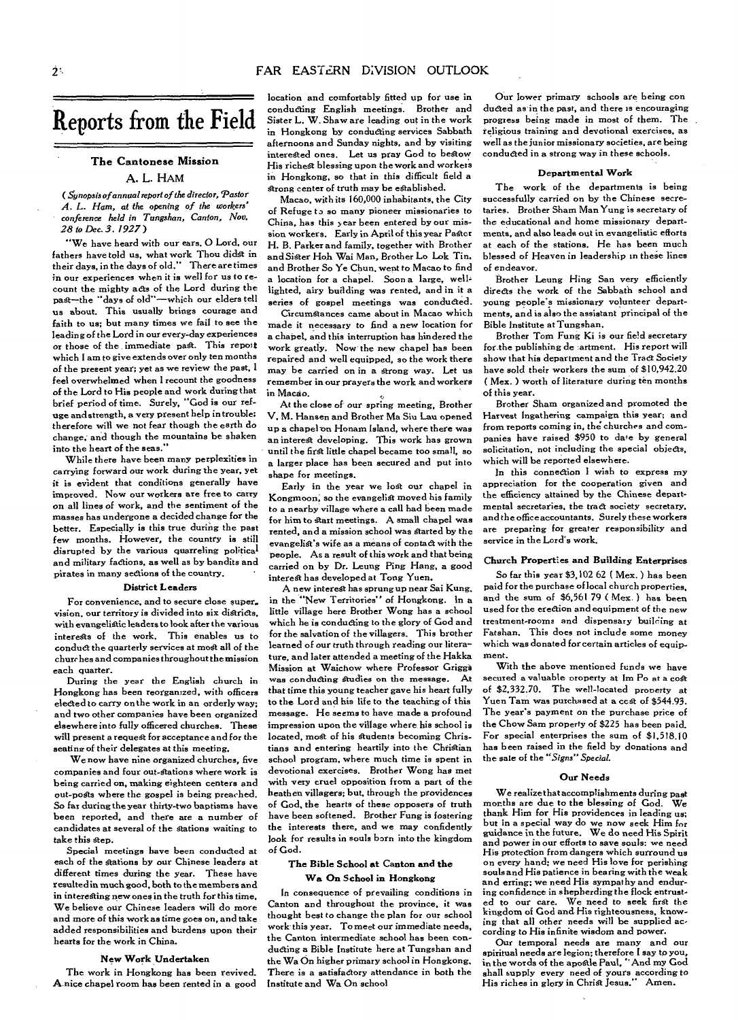# **Reports from the Field**

### **The Cantonese Mission A. L. HAM**

*( Synopsis of annual report of the director, Pastor A. L. Ham, at the opening of the workers' conference held in Tangshan, Canton, Nov. 28 to Dec. 3. 1927 )* 

"We have heard with our ears, **0 Lord,** our fathers have told us, what work Thou didst in<br>their days, in the days of old.'' There are times in our experiences when it is well for us to recount the mighty acts of the Lord during the past—the "days of old"—which our elders tell us about. This usually brings courage and faith to us; but many times we fail to see the leading of the Lord in our every-day experiences or those of the *immediate* past. This report which I am to give extends over only ten months of the present year; yet as we review the past, **I**  feel overwhelmed when I recount the goodness of the Lord to His people and work during that brief period of time. Surely, "God is our refuge and strength, a very present help in trouble; therefore will we not fear though the earth do change, and though the mountains be shaken into the heart of the seas."

While there have been many perplexities in carrying forward our work during the year, *yet*  it is evident that conditions generally have improved. Now our workers are free to carry on all lines of work, and the sentiment of the masses has undergone a decided change for the better. Especially is this true during the past few months. However, the country is still disrupted by the various quarreling political and military factions, as well as by bandits and pirates in many sections of the country.

#### **District Leaders**

For convenience, and to secure close super. vision, our territory is divided into six districts. with evangelistic leaders to look after the various interests of the work. This enables us to conduct the quarterly services at most all of the churches and companies throughout the mission each quarter.

During the year the English church in Hongkong has been reorganized, with officers elected to carry on the work in an orderly way; and two other companies have been organized elsewhere into fully officered churches. These will *present* a requegt for acceptance and for the seating of their delegates at this meeting.

We now have nine organized churches, five companies and four out-stations where work is being carried on, making eighteen centers and out-posts where the gospel is being preached. So far during the year thirty-two baptisms have been reported, and there are a number of candidates at several of the stations waiting to take this step.

Special meetings have been conducted at each of the stations by our Chinese leaders at different times during the year. These have resulted in much good, both to the members and in interesting new ones in the truth for this time. We believe our Chinese leaders will do more and more of this work as time goes on, and take added responsibilities and burdens upon their hearts for the work in China.

#### **New Work Undertaken**

The work in Hongkong has been revived. **A.** nice chapel **room** has been rented in a good location and comfortably fitted up for use in conducting English meetings. Brother and Sister L. W. Shaw are leading out in the work in Hongkong by conducting services Sabbath afternoons and Sunday nights, and by visiting interested ones. Let us pray God to bestow His richest blessing upon the work and workers in Hongkong, so that in this difficult field a strong center of truth may be established.

Macao, with its 160,000 inhabitants, the City of Refuge to so many pioneer missionaries to China, has this year been entered by our mission workers. Early in April of this year Paster H. B. Parker and family, together with Brother and Sister Hob Wai Man, Brother Lo Lok Tin, and Brother So Ye Chun. went to Macao to find a location for a chapel. Soon a large, welllighted, airy building was rented, and in it **a**  series of gospel meetings was conducted.

Circumstances came about in Macao which made it necessary to find a new location for a chapel, and this interruption has hindered the work greatly. Now the new chapel has been repaired and well equipped, so the work there may be carried on in a strong way. Let us remember in our prayers the work and workers in **Macao.** 

At the close of our spring meeting, Brother V. M. Hansen and Brother Ma Sin Lau opened up a chapel on Honam Island, where there was *an* interest developing. This work has grown until the first little chapel became too small, so a larger place has been secured and put into shape for meetings.

Early in the year we lost our chapel in Kongmoon, so the evangelist moved his family to a nearby village where a call had been made for him to start meetings. A small chapel was rented, and a mission school was Started by the evangelist's wife as a means of contact with the people. As a result of this work and that being carried on by Dr. Leung Ping Hang, a good interest has developed at Tong Yuen.

A new interest has sprung up near Sai Kung, in the "New Territories" of Hongkong. In a little village here Brother Wong has a school which he is conducting to the glory of God and for the salvation of the villagers. This brother learned of our truth through reading our literature, and later attended a meeting of the Hakka Mission at Waichow where Professor Griggi was conducting Studies on the message. At that time this young teacher gave his heart fully to the Lord and his life to the teaching of this message. He seems to have made a profound impression upon the village where his school is located, most of his students becoming Christians and entering heartily into the Christian school program, where much time is spent in devotional exercises. Brother Wong has met with very cruel opposition from a part of the heathen villagers; but, through the providences of God, the hearts of these opposers of truth have been softened. Brother Fung is fostering the interests there, and we may confidently look for results in souls born into the kingdom of God.

#### **The Bible School at Canton and the Wa On School in Hongkong**

In consequence of prevailing conditions in Canton and throughout the province, it was thought best to change the plan for our school work this year. To meet our immediate needs, the Canton intermediate school has been conducting a Bible Institute here at Tungshan and the Wa On higher primary school in Hongkong, There is a satisfactory attendance in both the Institute and Wa On school

Our lower primary schools are being con ducted as in the past, and there is encouraging progress being made in most of them. The religious training and devotional exercises, as well as the junior missionary societies, are being conducted in a strong way in these schools.

#### **Departmental Work**

The work of the departments is being successfully carried on by the Chinese secretaries. Brother Sham Man Yung is secretary of the educational and home missionary departments, and also leads out in evangelistic efforts at each of the stations. He has been much blessed of Heaven in leadership in these lines of endeavor.

Brother Leung Hing San very efficiently directs the work of the Sabbath school and young peoples missionary volunteer departments, and is also the assistant principal of the Bible Institute at Tungshan.

Brother Tom Fung Ki is our field secretary for.the publishing de artment. His report will show that his department and the Tract Society have sold their workers the sum of \$10,942.20 ( Mex. ) worth of literature during ten months of this year.

Brother Sham organized and promoted the Harvest Ingathering campaign this year; and from reports coming in, the churches and companies have raised \$950 to dare by general solicitation, not including the special objects, which will be reported elsewhere.

In this connection I wish to express my appreciation for the cooperation given and the efficiency attained by the Chinese departmental secretaries, the tract society secretary, and the office accountants. Surely these workers are preparing for greater responsibility and service in the Lord's work.

#### **Church Properties and Building Enterprises**

So far this year \$3,102 62 ( Mex. ) has been paid for the purchase of local church properties, and the sum of \$6,561 79 ( Mex.) has been used for the erection and equipment of the new treatment-rooms and dispensary building at Fatshan. This does not include some money which was donated for certain articles of equipment.

With the above mentioned funds we have secured a valuable property at Im Po at a cost of \$2,332.70. The well-located property at Yuen Tam was purchased at a ccst of \$544.93. The year's payment on the purchase price of the Chow Sam property of \$225 has been paid. For special enterprises the sum of \$1,518.10 has been raised in the field by donations and the sale of the *"Signs" Special.* 

#### **Our Needs**

We realize that accomplishments during past months are due to the blessing of God. thank Him for His providences in leading us; but in a special way do we now seek Him for guidance in the future, We do need His Spirit and power in our efforts to save souls: we *need*  His protection from dangers which surround us on every hand; we need His love for perishing souls and His patience in bearing with the weak and erring; we need His sympathy and enduring confidence in shepherding the flock entrusted to our care. We need to seek first the kingdom of God and His righteousness, knowing that all other needs will be supplied according to His infinite wisdom and power.

Our temporal needs are many and our spiritual needs are legion; therefore I say to you, in the words of the apostle Paul, "And my God shall supply every need of yours according to His riches in glory in Christ Jesus." Amen.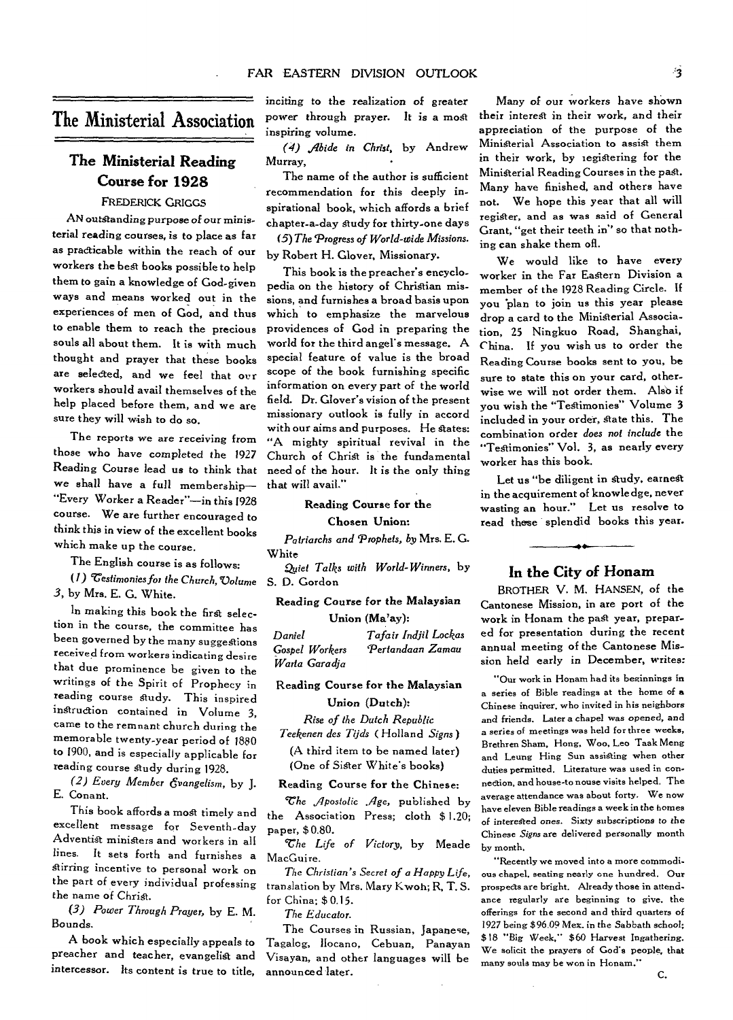# The Ministerial Association

# **The Ministerial Reading Course for 1928**

## FREDERICK GRIGGS

AN outstanding purpose of our *ministerial reading* courses, is to place as far as practicable within the reach of our workers the best books possible to help them to gain a knowledge of God-given ways and means worked out in the experiences of men of God, and thus to enable them to reach the precious souls all about them. It is with much thought and prayer that these books are selected, and we feel that our workers should avail themselves of the help placed before them, and we *are*  sure they will wish to do so.

The reports we *are receiving* from those who have completed the 1927 Reading Course lead us to think that we shall have a full membership— "Every Worker a Reader"—in this 1928 course. We are further encouraged to think this in view of the excellent books which make up the course.

The English course is as follows:

*(1) Testimonies for the Church, Volume 3,* by Mrs. E. G. White.

In making this book the first selection in the course, the committee has been governed by the many suggestions received from workers indicating desire that due prominence be given to the writings of the Spirit of Prophecy in reading course study. This inspired instruction contained in Volume 3, *came* to the remnant church during the memorable twenty-year period of 1880 to 1900, and is especially applicable for reading course study during 1928.

*(2) Every Member evangelism,* by J. E. Conant.

This book affords a most timely and excellent message for Seventh-day Adventist ministers and workers in all lines. It sets forth and furnishes a Stirring incentive to personal work on the part of every individual professing the name of Christ.

*(3) Power Through Prayer,* by E. M. *Bounds.* 

A book which especially appeals to preacher and teacher, evangelist and intercessor. Its content is true to title, inciting to *the realization* of greater power through *prayer. It is a* most inspiring volume.

*(4) Aide in Christ,* by Andrew Murray,

The name of the author is sufficient recommendation for this deeply inspirational book, which affords a brief chapter-a-day Study for thirty-one days

*(5) The 'Progress of World-wide Missions.*  by Robert H. Glover, Missionary.

This book is the preacher's encyclopedia on the history of Christian missions, and furnishes a broad basis upon which to emphasize the marvelous providences of God in preparing the world for the third angel's message. A special feature of value is the broad scope of the book furnishing specific information on every part of the world field. Dr. Glover's vision of the present missionary outlook is fully in accord with our aims and purposes. He states: "A mighty spiritual revival in the Church of Christ is the fundamental need of the hour. It is the only thing that will avail."

#### **Reading Course for the**

#### Chosen **Union:**

*Patriarchs and Prophets, by* Mrs. E. G. **White** 

*Quiet Talks with World-Winners,* by S. D. Gordon

### **Reading Course for the** *Malaysian*  **Union** *(Ma'ay):*

| Daniel         | Tafair Indjil Lockas |
|----------------|----------------------|
| Gospel Workers | Pertandaan Zamau     |
| Warta Garadja  |                      |

## **Reading Course for the Malaysian**

# **Union (Dutch):**

*Rise of the Dutch Republic* 

*Teekenen des Tijds (Holland Signs)*  (A third item to be named later) (One of Sister White's books)

#### Reading **Course for the** Chinese:

*The ,gposiolic Age,* published by the Association Press; cloth \$ 1.20; paper, \$ 0.80.

*The Life of Victory,* by Meade MacGuire.

*The Christian's Secret of a Happy Life,*  translation by **Mrs.** Mary Kwoh; R, T. S. for China; \$ 0.15.

*The Educator.* 

The Courses in Russian, Japanese, Tagalog, Ilocano, Cebuan, Panayan Visayan, and other languages will be announced later.

Many of our workers have shown their interest in their work, and their appreciation of the purpose of the Ministerial Association to assist them in their work, by registering for the Ministerial Reading Courses in the past. Many have finished, and others have not. We hope this year that all will register, and as was said of General Grant, "get their teeth in" so that nothing can shake them ofl.

We would like to have every worker in the Far Eastern Division a member of the 1928 Reading Circle. If you plan to join us this year please drop a card to the Ministerial Association, 25 Ningkuo Road, Shanghai, China. If you wish us to order the Reading Course books sent to you, be sure to state this on your card, otherwise we will not order them. Also if you wish the "TeStimonies" Volume 3 included in your order, state this. The combination order *does not include* the "Testimonies" Vol. 3, as nearly every worker has this book.

Let us "be diligent in study, earnest in the acquirement of knowledge, never wasting an hour." Let us resolve to read these splendid books this year.

## **In the City of Honam**

BROTHER V. M. HANSEN, of the Cantonese Mission, in are port of the work in Honam the past year, prepared for presentation during the recent annual meeting of the Cantonese Mission held early in December, writes:

"Our work in Honam had its beginnings in a series of Bible readings at the home of a Chinese inquirer, who invited in his neighbors and friends. Later a chapel was opened, and a series of meetings was held for three weeks, Brethren Sham, Hong, Woo, Leo Taak Meng and Leung Hing Sun assisting when other duties permitted. Literature was used in connection, and house-to nouse visits helped. The average attendance was about forty. We now have eleven Bible readings a week in the homes of interested ones. *Sixty* subscriptions to the Chinese *Signs* are delivered personally month by month,

"Recently we moved into a more commodious chapel, seating nearly one hundred. Our prospects are bright. Already those in attendance regularly are beginning to give, the offerings for the second and third quarters of 1927 being \$96.09 Mex. in the Sabbath school; \$18 "Big Week," \$60 Harvest Ingathering. We solicit the prayers of God's people, that many souls may be won in Honam."

*C.*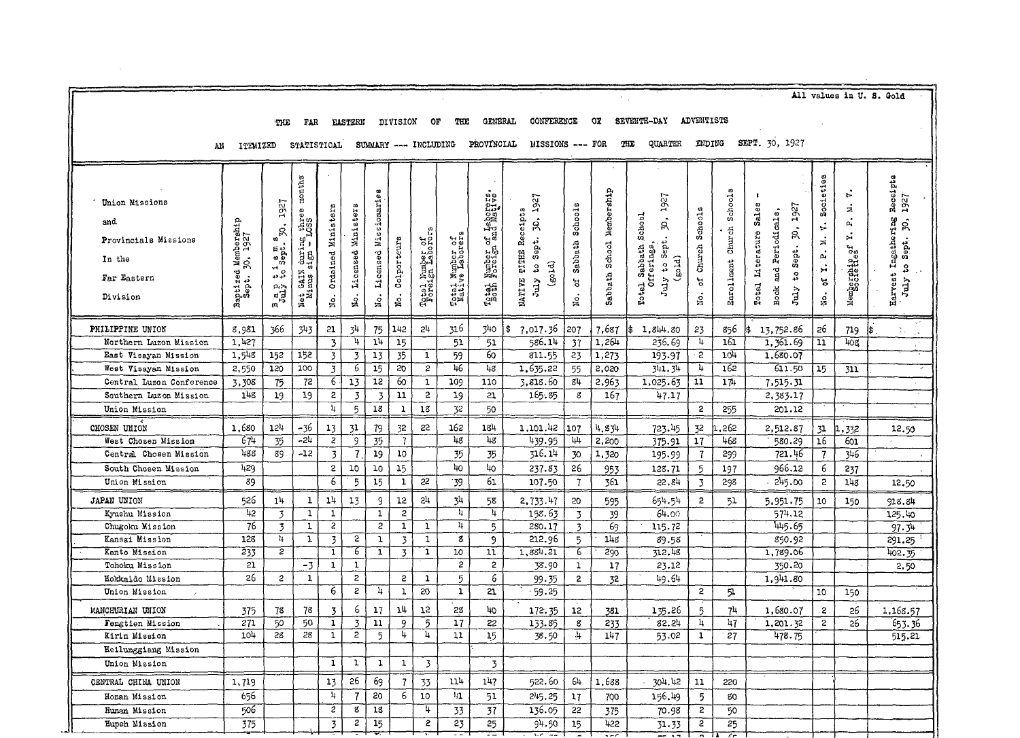| All values in U.S. Gold                                                |                                                     |                                                                                                |                                                        |                         |                                  |                       |                         |                                     |                                    |                                        |                                                                            |                      |                                 |                                                                              |                         |                                 |                                                                                                              |                                                                                       |                                      |                                                                                                 |
|------------------------------------------------------------------------|-----------------------------------------------------|------------------------------------------------------------------------------------------------|--------------------------------------------------------|-------------------------|----------------------------------|-----------------------|-------------------------|-------------------------------------|------------------------------------|----------------------------------------|----------------------------------------------------------------------------|----------------------|---------------------------------|------------------------------------------------------------------------------|-------------------------|---------------------------------|--------------------------------------------------------------------------------------------------------------|---------------------------------------------------------------------------------------|--------------------------------------|-------------------------------------------------------------------------------------------------|
|                                                                        |                                                     | - 中口の                                                                                          | FAR.                                                   |                         | <b>EASTERN</b>                   |                       | <b>DIVISION</b>         | OF                                  | THE                                | GENERAL                                | CONFERENCE                                                                 |                      | Оï                              | SEVENTH-DAY                                                                  | <b>ADVENTISTS</b>       |                                 |                                                                                                              |                                                                                       |                                      |                                                                                                 |
|                                                                        |                                                     |                                                                                                |                                                        |                         |                                  |                       |                         |                                     |                                    |                                        |                                                                            |                      |                                 |                                                                              |                         |                                 |                                                                                                              |                                                                                       |                                      |                                                                                                 |
| AN                                                                     | <b>ITEMIZED</b>                                     |                                                                                                | <b>STATISTICAL</b>                                     |                         |                                  |                       |                         |                                     |                                    | SUMMARY --- INCLUDING PROVINCIAL       | MISSIONS --- FOR                                                           |                      | THE                             | QUARTER                                                                      | ENDING                  |                                 | SEPT. 30, 1927                                                                                               |                                                                                       |                                      |                                                                                                 |
| Union Missions<br>and<br>Provincials Missions<br>In the<br>Far Eastern | Membership<br>30, 1927<br>ş.<br>Baptized<br>Sept. 3 | 1927<br>ູຂົ<br>sept.<br>$\mathcal{A}$<br>្លឹង<br>$\mathfrak{s}_{\mathfrak{su}}^{\mathfrak{g}}$ | months<br>three<br>$\lim_{t\to\infty}$<br>CAIN<br>some | Ordained Ministers      | Licensed Ministers               | Licensed Missionaries | Colporteurs             | Totel Number of<br>Foreign Laborers | Total Number of<br>Native Laborers | Number of Leborers<br>I <sub>261</sub> | <b>30, 1927</b><br><b>MATIVE TITHE Receipts</b><br>July to Sept.<br>(501d) | Sabbath Schools<br>ď | Nembership<br>School<br>Sabbath | 1927<br>School<br>Ŕ<br>July to Sept.<br>Totel Sabbath<br>Offerings<br>(501d) | Schools<br>Church<br>۹, | Schools<br>Church<br>Enrollment | Total Literature Sales<br>1927<br>and Periodicals,<br>Ŗ,<br>Step t.<br>$\mathfrak{e}_4$<br><b>Book</b><br>ym | Societies<br>$\ddot{\mathbf{r}}$<br>$\mathbf{z}$<br>$\vec{\mathbf{p}}_i$<br>ΣÎ,<br>đ, | చ<br>ś<br>ρī,<br>ř,<br>Membership of | Receipts<br>1927<br>Ingathering<br>ş,<br>Sept.<br>$\boldsymbol{\mathfrak{e}}$<br>Harvest<br>ymr |
| Division                                                               |                                                     |                                                                                                | Net<br>Mi                                              | No.                     | s.                               | No.                   | No.                     |                                     |                                    |                                        |                                                                            | No.                  |                                 |                                                                              | No.                     |                                 |                                                                                                              | No.                                                                                   |                                      |                                                                                                 |
| PHILIPPINE UNION                                                       | 8,981                                               | 366                                                                                            | 343                                                    | 21                      | 34                               | 75                    | 142                     | 24                                  | 316                                | 340                                    | 7,017.36<br>Ι\$                                                            | 207                  | 7,687                           | 1,844.80                                                                     | 23                      | 856                             | 13,752.86                                                                                                    | 26                                                                                    | 719                                  | t.<br>$\sim$                                                                                    |
| Northern Luzon Mission                                                 | 1.427                                               |                                                                                                |                                                        | 3                       | 4                                | 14                    | 15                      |                                     | 51                                 | 51                                     | 586.14                                                                     | 37                   | 1,264                           | 236.69                                                                       | 4                       | 161                             | 1, 361.69                                                                                                    | $\overline{\mathbf{1}}$                                                               | 408                                  | $\mathcal{L}^{\prime}$                                                                          |
| East Visayan Mission                                                   | 1,548                                               | 152                                                                                            | 152                                                    | $\overline{\mathbf{3}}$ | 3                                | 13                    | 35                      | $\mathbf{1}$                        | 59                                 | 60                                     | 811.55                                                                     | 23                   | 1,273                           | 193.97                                                                       | $\overline{2}$          | 104                             | 1,680.07                                                                                                     |                                                                                       |                                      |                                                                                                 |
| West Visayan Mission                                                   | 2,550                                               | 120                                                                                            | 100                                                    | 3                       | 6                                | 15                    | 20                      | $\overline{2}$                      | 46                                 | 48                                     | 1,635.22                                                                   | 55                   | 2,020                           | 341.34                                                                       | h                       | 162                             | 611.50                                                                                                       | 15                                                                                    | 311                                  |                                                                                                 |
| Central Luzon Conference                                               | 3,308                                               | 75                                                                                             | 72                                                     | 6                       | 13                               | 12                    | 60                      | $\mathbf 1$                         | 109                                | 110                                    | 3,818.60                                                                   | 84                   | 2,963                           | 1,025.63                                                                     | 11                      | 171                             | 7.515.31                                                                                                     |                                                                                       |                                      |                                                                                                 |
| Southern Luzon Mission                                                 | 148                                                 | 19                                                                                             | 19                                                     | $\overline{c}$          | $\overline{\mathbf{3}}$          | $\overline{3}$        | 11                      | $\overline{2}$                      | 19                                 | 21                                     | 165.85                                                                     | 8                    | 167                             | 47.17                                                                        |                         |                                 | 2,383.17                                                                                                     |                                                                                       |                                      |                                                                                                 |
| Union Mission                                                          |                                                     |                                                                                                |                                                        | 4                       | 5                                | 18                    | $\overline{1}$          | 18                                  | 32                                 | 50                                     |                                                                            |                      |                                 |                                                                              | $\overline{2}$          | 255                             | 201.12                                                                                                       |                                                                                       |                                      |                                                                                                 |
| CHOSEN UNION                                                           | 1,680                                               | 124                                                                                            | - 36                                                   | 13                      | 31                               | 79                    | 32                      | 22                                  | 162                                | 184                                    | 1,101.42                                                                   | 107                  | 4.834                           | 723.45                                                                       | 32                      | 262                             | 2,512.87                                                                                                     | 31                                                                                    | .332                                 | 12.50                                                                                           |
| West Chosen Mission                                                    | 674                                                 | 35                                                                                             | $-24$                                                  | $\overline{c}$          | $\overline{9}$                   | 35                    | $\overline{7}$          |                                     | $\overline{48}$                    | 48                                     | 439.95                                                                     | 44                   | 2.200                           | 375.91                                                                       | 17                      | 468                             | 580.29                                                                                                       | $\overline{16}$                                                                       | 601                                  |                                                                                                 |
| Central Chosen Mission                                                 | 438                                                 | 89                                                                                             | -12                                                    | $\overline{3}$          | $\overline{l}$                   | 19                    | 10                      |                                     | 35                                 | 35                                     | 316.14                                                                     | 30                   | 1,320                           | 195.99                                                                       | $\overline{1}$          | 299                             | 721.46                                                                                                       | $\overline{t}$                                                                        | 346                                  |                                                                                                 |
| South Chosen Mission                                                   | 429                                                 |                                                                                                |                                                        | $\overline{c}$          | 10                               | 10                    | 15                      |                                     | 40                                 | 40                                     | 237.83                                                                     | 26                   | 953                             | 128.71                                                                       | 5                       | 197                             | 966.12                                                                                                       | 6                                                                                     | 237                                  |                                                                                                 |
| Union Mission                                                          | 89                                                  |                                                                                                |                                                        | 6                       | 5                                | 15                    | $\mathbf{1}$            | 22                                  | 39                                 | 61                                     | 107.50                                                                     | $\overline{7}$       | 361                             | 22.84                                                                        | 3                       | 298                             | 245.00                                                                                                       | $\overline{2}$                                                                        | 148                                  | 12.50                                                                                           |
| <b>JAPAN UNION</b>                                                     | 526                                                 | 14                                                                                             | $\mathbf 1$                                            | 14                      | 13                               | 9                     | 12                      | 24                                  | 34                                 | 58                                     | 2,733.47                                                                   | 20                   | 595                             | 654.54                                                                       | $\overline{c}$          | 51                              | 5,951.75                                                                                                     | 10                                                                                    | 150                                  | 918.84                                                                                          |
| Kyushu Mission                                                         | 42                                                  | 3                                                                                              | $\mathbf{1}$                                           | $\mathbf{1}$            |                                  | $\mathbf 1$           | $\overline{\mathbf{c}}$ |                                     | $\overline{4}$                     | 4                                      | 158.63                                                                     | $\overline{3}$       | 39                              | 64.00                                                                        |                         |                                 | 574.12                                                                                                       |                                                                                       |                                      | 125.40                                                                                          |
| Chugoku Mission                                                        | 76                                                  | 3                                                                                              | $\mathbf{1}$                                           | 2                       |                                  | $\overline{c}$        | 1                       | 1                                   | $\mathbf{u}$                       | 5                                      | 280.17                                                                     | 3                    | 69                              | 115.72                                                                       |                         |                                 | 445.65                                                                                                       |                                                                                       |                                      | 97.34                                                                                           |
| Kansai Mission                                                         | 128                                                 | 4                                                                                              | $\overline{1}$                                         | $\overline{3}$          | 2                                | ı                     | $\overline{3}$          | $\mathbf{1}$                        | 8                                  | 9                                      | 212.96                                                                     | 5                    | 148                             | 89.58                                                                        |                         |                                 | 850.92                                                                                                       |                                                                                       |                                      | 291.25                                                                                          |
| Kanto Mission                                                          | 233                                                 | $\overline{2}$                                                                                 |                                                        | $\mathbf 1$             | 6                                | $\mathbf{1}$          | $\overline{3}$          | 1                                   | 10 <sup>1</sup>                    | 11                                     | 1,884.21                                                                   | 6                    | 290                             | 712.48                                                                       |                         |                                 | 1,789.06                                                                                                     |                                                                                       |                                      | 402.35                                                                                          |
| Tohoku Mission                                                         | 21                                                  |                                                                                                | $-3$                                                   | $\mathbf 1$             | $\mathbf 1$                      |                       |                         |                                     | $\mathbf{c}$                       | $\overline{c}$                         | 38.90                                                                      | $\mathbf 1$          | 17                              | 23.12                                                                        |                         |                                 | 350.20                                                                                                       |                                                                                       |                                      | 2.50                                                                                            |
| Hokkaide Mission                                                       | 26                                                  | $\overline{c}$                                                                                 | $\mathbf{1}$                                           |                         | $\overline{c}$                   |                       | 2                       | 1                                   | 5                                  | 6                                      | 99.35                                                                      | $\overline{2}$       | 32                              | 49.64                                                                        |                         |                                 | 1,941.80                                                                                                     |                                                                                       |                                      |                                                                                                 |
| Union Mission                                                          |                                                     |                                                                                                |                                                        | 6                       | S                                | 4                     | $\mathbf{1}$            | 20                                  | $\overline{\mathbf{1}}$            | 21                                     | 59.25                                                                      |                      |                                 |                                                                              | 2                       | 51                              |                                                                                                              | 10                                                                                    | 150                                  |                                                                                                 |
| MANCHURIAN UNION                                                       | 375                                                 | 78                                                                                             | 78                                                     | 3                       | 6                                | 17                    | 14                      | 12                                  | 28                                 | 40                                     | 172.35                                                                     | 12                   | 381                             | 135.26                                                                       | 5                       | 7 <sup>h</sup>                  | 1,680.07                                                                                                     | $\overline{c}$                                                                        | 26                                   | 1,168.57                                                                                        |
| Fengtien Mission                                                       | 271                                                 | 50                                                                                             | 50                                                     | $\mathbf 1$             | $\overline{3}$<br>$\overline{c}$ | 11                    | 9                       | $\overline{5}$<br>4                 | 17                                 | 22                                     | 133.85                                                                     | g                    | 233                             | 82.24                                                                        | 4                       | 117                             | 1,201.32                                                                                                     | $\overline{c}$                                                                        | 26                                   | 653.36                                                                                          |
| Kirin Mission                                                          | 104                                                 | 28                                                                                             | 28                                                     | $\mathbf 1$             |                                  | 5                     | 4                       |                                     | 11                                 | 15                                     | 38.50                                                                      | 4                    | 147                             | 53.02                                                                        | $\mathbf{1}$            | 27                              | 478.75                                                                                                       |                                                                                       |                                      | 515.21                                                                                          |
| Heilunggiang Mission                                                   |                                                     |                                                                                                |                                                        |                         |                                  |                       |                         |                                     |                                    |                                        |                                                                            |                      |                                 |                                                                              |                         |                                 |                                                                                                              |                                                                                       |                                      |                                                                                                 |
| Union Mission                                                          |                                                     |                                                                                                |                                                        | $\mathbf 1$             | $\mathbf 1$                      | ı                     | $\mathbf 1$             | $\overline{3}$                      |                                    | 3                                      |                                                                            |                      |                                 |                                                                              |                         |                                 |                                                                                                              |                                                                                       |                                      |                                                                                                 |
| CENTRAL CHINA UNION                                                    | 1,719                                               |                                                                                                |                                                        | 13                      | 26                               | 69                    | $\overline{7}$          | 33                                  | 114                                | 147                                    | 522.60                                                                     | 64                   | 1.688                           | 304.42                                                                       | 11                      | 220                             |                                                                                                              |                                                                                       |                                      |                                                                                                 |
| Honan Mission                                                          | 656                                                 |                                                                                                |                                                        | 4                       | $\overline{\mathcal{L}}$         | SO                    | 6                       | 10                                  | 41                                 | 51                                     | 245.25                                                                     | 17                   | 700                             | 156.49                                                                       | 5                       | 80                              |                                                                                                              |                                                                                       |                                      |                                                                                                 |
| Hunan Mission                                                          | 506                                                 |                                                                                                |                                                        | 2                       | g                                | 18                    |                         | 4                                   | 33                                 | 37                                     | 136.05                                                                     | 22                   | 375                             | 70.98                                                                        | $\overline{2}$          | 50                              |                                                                                                              |                                                                                       |                                      |                                                                                                 |
| Hupeh Mission                                                          | 375                                                 |                                                                                                |                                                        | $\overline{3}$          | 2                                | 15                    |                         | $\overline{z}$                      | 23                                 | 25                                     | 94.50<br>77                                                                | 15                   | 422<br>$\overline{\phantom{0}}$ | 31.33                                                                        | S                       | 25                              |                                                                                                              |                                                                                       |                                      |                                                                                                 |

 $\sim 10^{11}$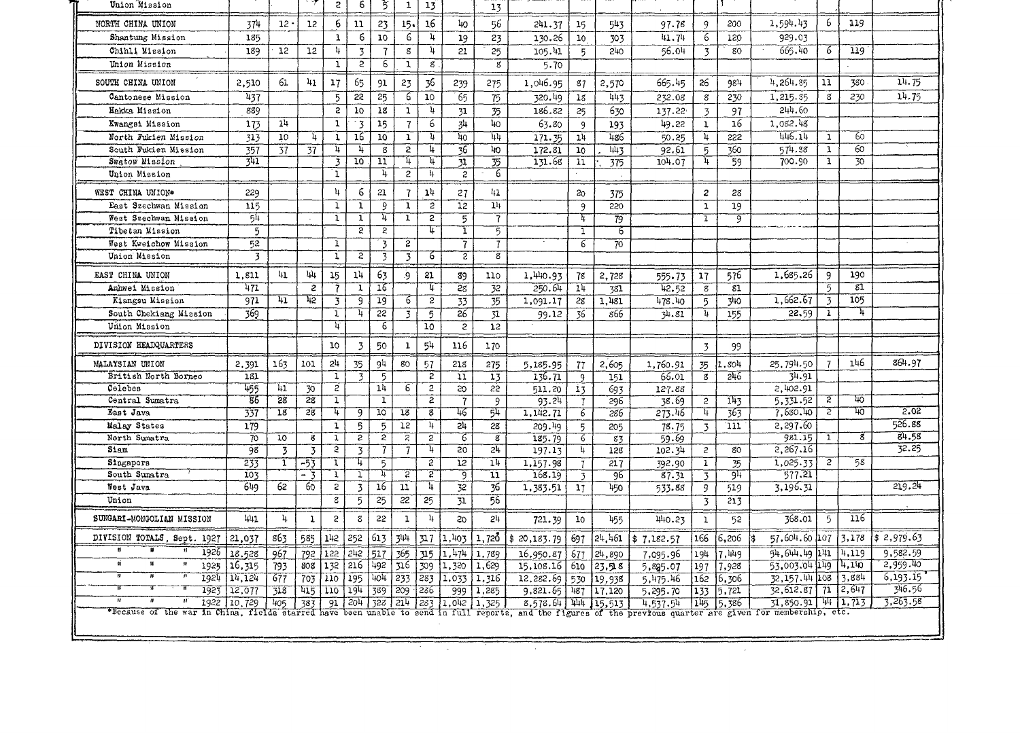| Union Mission               |                         |                 |                 | S              | 6                | 3               | $\mathbf{1}$            | 13             |                         | 13                      |                       |                 |                  |                      |                  |                 |                                         |                  |                 |                    |
|-----------------------------|-------------------------|-----------------|-----------------|----------------|------------------|-----------------|-------------------------|----------------|-------------------------|-------------------------|-----------------------|-----------------|------------------|----------------------|------------------|-----------------|-----------------------------------------|------------------|-----------------|--------------------|
| NORTH CHINA UNION           | 374                     | $12 -$          | 12              | 6              | 11               | 23              | 15 <sub>1</sub>         | 16             | 40                      | 56                      | 241.37                | 15              | 543              | 97.76                | 9                | 200             | 1,594.43                                | 6                | 119             |                    |
| Shantung Mission            | 185                     |                 |                 | $\mathbf 1$    | 6                | 10              | 6                       | 4              | 19                      | 23                      | 130.26                | 10              | 303              | 41.74                | 6                | 120             | 929.03                                  |                  |                 |                    |
| Chihli Mission              | 189                     | 12              | 12              | 4              | $\overline{3}$   | $\overline{1}$  | g                       | 4              | 21                      | 25                      | 105.41                | 5               | 240              | 56.04                | $\overline{3}$   | 80              | 665.40                                  | 6                | 119             |                    |
| Union Mission               |                         |                 |                 | ï              | $\overline{2}$   | 6               | 1                       | g              |                         | $\overline{g}$          | 5.70                  |                 |                  |                      |                  |                 |                                         |                  |                 |                    |
| SOUTH CHINA UNION           | 2,510                   | 61              | 41              | 17             | 65               | 91              | 23                      | 36             | 239                     | 275                     | 1,046.95              | 87              | 2,570            | 665.45               | 26               | 984             | 4.264.85                                | 11               | 380             | 14.75              |
| Cantonese Mission           | 437                     |                 |                 | 5              | $\frac{55}{25}$  | 25              | 6                       | 10             | 65                      | 75                      | 320.49                | 18              | 443              | 232.08               | $\boldsymbol{s}$ | 230             | 1,215.35                                | 8                | 230             | 14.75              |
| Hakka Mission               | 889                     |                 |                 | S              | 10               | 18              | $\mathbf{1}$            | $\frac{1}{2}$  | 31                      | 35                      | 186.82                | 25              | 630              | 137.22               | $\overline{3}$   | 97              | 244.60                                  |                  |                 |                    |
| Kwangsi Mission             | 173                     | 14              |                 | $\mathbf 1$    | $3^{\circ}$      | 15              | $\overline{1}$          | 6              | 34                      | $40^{\circ}$            | 63.80                 | 9               | 193              | 49.22                | $\mathbf{1}$     | 16              | 1.082.48                                |                  |                 |                    |
| North Fukien Mission        | 313                     | 10 <sup>1</sup> | 4               | $\mathbf{1}$   | 16               | 10              | $\mathbf{1}$            | $\frac{1}{2}$  | 40                      | 44                      | 171.35                | 1 <sup>1</sup>  | 486              | 50.25                | 4                | 222             | 446.14                                  | $\mathbf{1}$     | 60              |                    |
| South Fukien Mission        | 357                     | 37              | 37              | 4              | $\mathbf{h}$     | 8               | $\overline{2}$          | 4              | $\overline{36}$         | 40                      | 172.31                | 10 <sub>o</sub> | 443              | 92.61                | 5                | 360             | 574.88                                  | $\mathbf{1}$     | 60              |                    |
| Swatow Mission              | 341                     |                 |                 | 3              | 10 <sub>10</sub> | 11              | 4                       | Η.             | 31                      | 35                      | 131.68                | 11              | 375              | 104.07               | 4                | 59              | 700.90                                  | $\mathbf{1}$     | 30              |                    |
| Union Mission               |                         |                 |                 | ٦.             |                  | $\overline{u}$  | $\overline{2}$          | -14            | $\overline{2}$          | $\overline{6}$          |                       |                 |                  |                      |                  |                 |                                         |                  |                 |                    |
| WEST CHINA UNION*           | 229                     |                 |                 | $\mathbf{h}$   | 6                | 21              | $\overline{1}$          | 14             | 27                      | 41                      |                       | 20              | 375              |                      | $\boldsymbol{z}$ | 28              |                                         |                  |                 |                    |
| East Szechwan Mission       | 115                     |                 |                 | $\mathbf 1$    | $\mathbf{1}$     | 9               | 1                       | $\overline{c}$ | 12                      | 1 <sub>1</sub>          |                       | 9               | 220              |                      | $\mathbf{1}$     | 19              |                                         |                  |                 |                    |
| West Szechwan Mission       | 54                      |                 |                 | $\mathbf{1}$   | $\mathbf{I}$     | 4               | 1                       | $\overline{z}$ | $\overline{5}$          | $\overline{7}$          |                       | T               | 79               |                      | $\mathbf{1}$     | 9               |                                         |                  |                 |                    |
| Tibetan Mission             | 5                       |                 |                 |                | $\overline{2}$   | 5               |                         | Τ,             | T                       | 5.                      |                       | ī               | 6                |                      |                  |                 |                                         |                  |                 |                    |
| West Kweichow Mission       | 52                      |                 |                 | 1              |                  | 3               | S.                      |                | 7                       | 7                       |                       | 6               | 70               |                      |                  |                 |                                         |                  |                 |                    |
| Union Mission               | $\overline{\mathbf{3}}$ |                 |                 | T              | $\overline{z}$   | $\overline{3}$  | 3                       | 6              | ट                       | $\overline{\mathbf{g}}$ |                       |                 |                  |                      |                  |                 |                                         |                  |                 |                    |
| EAST CHINA UNION            | 1,811                   | 41              | 44              | 15             | 14               | 63              | -9                      | 21             | 89                      | 110                     | 1,440.93              | 78              | 2,728            | 555.73               | 17               | 576             | 1,685.26                                | 9                | 190             |                    |
| Anhwei Mission              | 471                     |                 | $\overline{z}$  | 7              | T                | 16              |                         | 4              | 28                      | 32                      | 250.64                | 14              | 381              | 42.52                | $\mathbf{g}$     | 81              |                                         | 5                | $\overline{81}$ |                    |
| Kiangsu Mission             | 971                     | 41              | 12              | 3              | ۊ                | 19              | 6                       | $\overline{2}$ | $\overline{33}$         | $\overline{35}$         | 1,091.17              | 28              | 1.481            | 478.40               | -5               | 340             | 1,662.67                                | $\overline{3}$   | 105             |                    |
| South Chekiang Mission      | 369                     |                 |                 | T              | 4                | 22              | $\overline{\mathbf{3}}$ | $\overline{5}$ | $\overline{26}$         | 31                      | 99.12                 | 36              | 866              | 34.81                | -4               | 155             | 22.59                                   | $\mathbf{1}$     | 4               |                    |
| Union Mission               |                         |                 |                 | $\overline{4}$ |                  | $\overline{6}$  |                         | 10             | $\overline{c}$          | 12                      |                       |                 |                  |                      |                  |                 |                                         |                  |                 |                    |
| DIVISION HEADQUARTERS       |                         |                 |                 | 10             | $\overline{3}$   | 50              | $\mathbf{1}$            | 54             | 116                     | 170                     |                       |                 |                  |                      | $\overline{3}$   | 99              |                                         |                  |                 |                    |
| MALAYSIAN UNION             | 2,391                   | 163             | 101             | 2 <sup>1</sup> | 35               | 94              | 80                      | 57             | 218                     | 275                     | 5,185.95              | 77              | 2,605            | 1,760.91             | 35               | 11,804          | 25,794.50                               | 7                | 146             | 864.97             |
| British North Borneo        | 181                     |                 |                 | T              | 3                | $\overline{5}$  |                         | $\overline{c}$ | ñ                       | 13                      | 136.71                | 9               | 151              | 66.01                | g.               | 246             | 34.91                                   |                  |                 |                    |
| Celebes                     | 455                     | 41              | $\overline{30}$ | 2              |                  | 14              | 6                       | 2              | 20                      | $22^{\circ}$            | 511.20                | 13              | 693              | 127.88               |                  |                 | 2,402.91                                |                  |                 |                    |
| Central Sumatra             | -86                     | 28              | 28              | T              |                  | T               |                         | $\overline{2}$ | $\overline{\mathbf{z}}$ | 9                       | 93.24                 | $\overline{7}$  | 296              | 38.69                | $\overline{c}$   | 143             | 5,331.52                                | $\overline{2}$   | 40              |                    |
| East Java                   | 337                     | 18              | 28              | Ŧ              | g                | $\overline{10}$ | 18                      | $\overline{g}$ | 46                      | 54                      | 1,142.71              | 6               | 286              | 273.46               | 4                | 363             | 7.680.40                                | $\overline{z}$   | π.              | 2.02               |
| Malay States                | 179                     |                 |                 | $\mathbf{1}$   | 5                | 5               | 12                      | 4              | $\overline{24}$         | 28                      | 209.49                | $\overline{5}$  | 205              | 78.75                | $\overline{3}$   | 111             | 2,297.60                                |                  |                 | 526.88             |
| North Sumatra               | 70                      | 10 <sup>1</sup> | 8               | $\overline{1}$ | $\overline{2}$   | $\overline{2}$  | $\overline{2}$          | $\overline{2}$ | $\overline{6}$          | ड                       | 185.79                | $\overline{6}$  | 83               | 59.69                |                  |                 | 981.15                                  | $\mathbf{1}$     | g               | 84.58              |
| Siam                        | 98                      | 3               | $\overline{3}$  | $\overline{z}$ | $\overline{3}$   | 7               | $\overline{1}$          | 4              | 50                      | $\frac{1}{2}$           | 197.13                | 4               | 128              | 102.34               | $\overline{c}$   | 80              | 2,267.16                                |                  |                 | 32.25              |
| Singapors                   | 233                     | T               | -53             | $\mathbf{1}$   | 4                | $\overline{5}$  |                         | $\overline{2}$ | 12                      | 14                      | 1,157.98              | $\overline{1}$  | 217              | 392.90               | 1                | 35              | 1,025.33                                | $\boldsymbol{z}$ | 58              |                    |
| South Sumatra               | 103                     |                 | - 3             | T              | ī                | π               | $\overline{c}$          | 2              | 可                       | $\overline{11}$         | 168.19                | 3               | 96               | 87.31                | $\overline{3}$   | 94              | 577.21                                  |                  |                 |                    |
| West Java                   | 649                     | 62              | 60              | 5              | $\overline{3}$   | 16              | 11                      | 4              | 32                      | $\overline{36}$         | 1,383.51              | 17              | 450              | 533.88               | 9                | 519             | 3,196.31                                |                  |                 | 219.24             |
| Union                       |                         |                 |                 | $\overline{8}$ | $\overline{5}$   | $\overline{25}$ | $\overline{22}$         | 25             | $\overline{31}$         | 56                      |                       |                 |                  |                      | $\overline{3}$   | 213             |                                         |                  |                 |                    |
| SUNGARI-MONGOLIAN MISSION   | 441                     | 4               | 1               | $\mathbf{c}$   | 8                | 22              | $\mathbf{1}$            | 4              | 50                      | 2 <sup>h</sup>          | 721.39                | 10              | 455              | 440.23               | $\mathbf{1}$     | 52              | 368.01                                  | 5                | 116             |                    |
|                             |                         | 863             | 585             | 142            | 252              | 613             | 344                     | 317            | 1,403                   | 1,720                   | \$20,183.79           | 697             | 24,461           | \$7,182.57           | 166              | 6,206           | 57,604.60 107 3,178                     |                  |                 | \$2,979.63         |
| DIVISION TOTALS, Sept. 1927 | 21,037                  |                 |                 |                |                  |                 | 365                     | 315            | 1,474                   | 1.789                   | 16,950.87             | 677             | 24,890           | 7,095.96             | 194              | 7.449           | 54, 644, 49 141                         |                  | 4,119           | 9,582.59           |
| 1926                        |                         |                 |                 |                |                  |                 |                         |                |                         |                         |                       |                 |                  |                      |                  |                 |                                         |                  |                 |                    |
| ۵Í                          | 18.528                  | 967             | 792<br>808      | 122            | 242              | 517             |                         |                |                         |                         |                       |                 |                  |                      |                  |                 |                                         |                  |                 | 2,959.40           |
| 1925                        | 16,315                  | 793             |                 | 132            | 216              | 492             | 316                     | 309            | 1,320                   | 1,629                   | 15,108.16             | 610             | 23,518           | 5.895.07             | 197              | 7,928           | 53,003.04 149 4,140                     |                  |                 |                    |
| 1924<br>1923                | 14,124<br>12,077        | 677<br>718      | 415             | 703 110<br>110 | 195<br>194       | 389             | $104$ 233<br>209        | 283<br>286     | 1,033<br>999            | 1,316<br>1,285          | 12,282.69<br>9,821.65 | 530<br>487      | 19,938<br>17,120 | 5,475.46<br>5,295.70 | 162<br>133       | 16.306<br>5.721 | 32, 157, 44 108<br>32, 612.87 71 2, 647 |                  | 3,884           | 6,193.15<br>346.56 |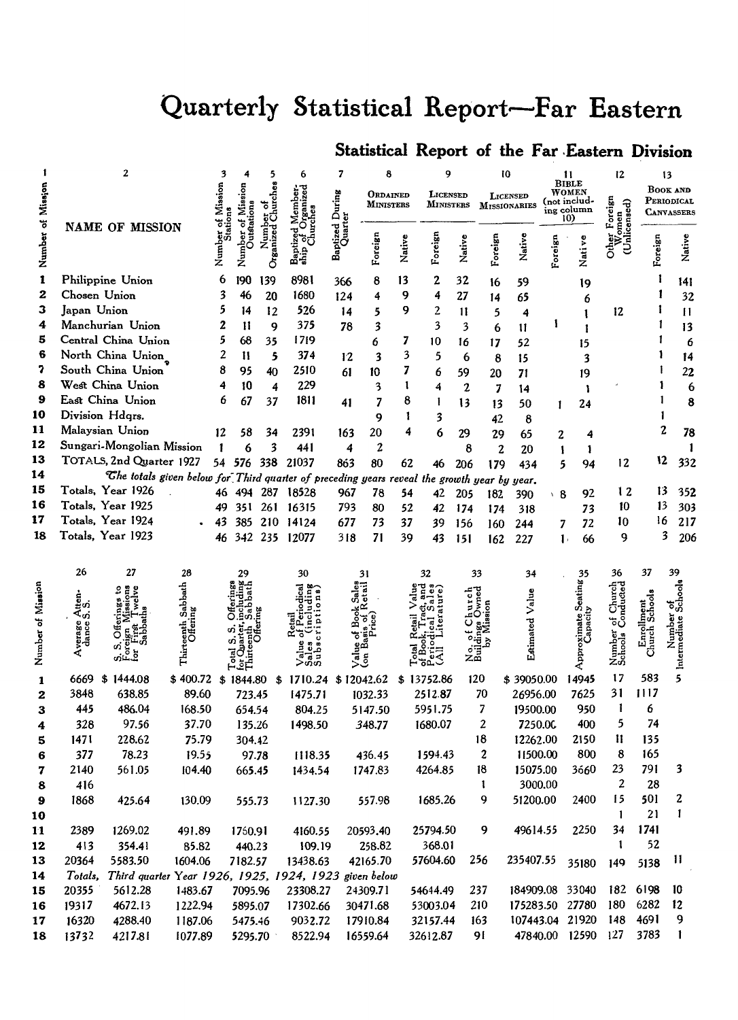# Quarterly Statistical Report-Far Eastern

# Statistical Report of the Far Eastern Division

|                   |                                   | 2                                                                                           |                  |         |           |                  | 6                     | 7           |                              |        | 9                     |                         | 10           |                                 |         | 11                                                  | 12                |                             | 13                                                 |
|-------------------|-----------------------------------|---------------------------------------------------------------------------------------------|------------------|---------|-----------|------------------|-----------------------|-------------|------------------------------|--------|-----------------------|-------------------------|--------------|---------------------------------|---------|-----------------------------------------------------|-------------------|-----------------------------|----------------------------------------------------|
|                   |                                   |                                                                                             |                  | Mission |           |                  |                       | During      | ORDAINED<br><b>MINISTERS</b> |        | LICENSED<br>MINISTERS |                         |              | LICENSED<br><b>MISSIONARIES</b> |         | <b>BIBLE</b><br>WOMEN<br>(not includ-<br>ing column | କୃ                |                             | <b>BOOK AND</b><br>PERIODICAL<br><b>CANVASSERS</b> |
|                   |                                   | NAME OF MISSION                                                                             |                  |         |           |                  |                       |             |                              |        |                       |                         |              |                                 |         | 10)                                                 |                   |                             |                                                    |
| Number of Mission |                                   |                                                                                             |                  | Numbe   | Numl      | Organized Church | Baptized<br>ship of ( | Baptized Du | Foreign                      | Native | Foreign               | Native                  | Foreign      | Native                          | Foreign | Nati ve                                             |                   | Foreign                     | Native                                             |
| $\mathbf{1}$      |                                   | Philippine Union                                                                            |                  | 6       | 190       | 139              | 8981                  | 366         | 8                            | 13     | 2                     | 32                      | 16           | 59                              |         | 19                                                  |                   |                             | 141                                                |
| 2                 | Chosen Union                      |                                                                                             |                  | 3       | 46        | 20               | 1680                  | 124         | 4                            | 9      | 4                     | 27                      | 14           | 65                              |         | 6                                                   |                   |                             | 32                                                 |
| з                 | Japan Union                       |                                                                                             |                  | 5       | 14        | 12               | 526                   | 14          | 5                            | 9      | 2                     | 11                      | 5            | 4                               |         |                                                     | 12                |                             | $\mathbf{H}$                                       |
| 4                 |                                   | Manchurian Union                                                                            |                  | 2       | 11        | 9                | 375                   | 78          | 3                            |        | 3                     | $\overline{\mathbf{3}}$ | 6            | $\mathbf{11}$                   | 1       | ı                                                   |                   |                             | 13                                                 |
| 5                 |                                   | Central China Union                                                                         |                  | 5       | 68        | 35               | 1719                  |             | 6                            | 7      | 10                    | 16                      | 17           | 52                              |         | 15                                                  |                   |                             | 6                                                  |
| 6                 |                                   | North China Union                                                                           |                  | 2       | 11        | 5                | 374                   | 12          | 3                            | 3      | 5                     | 6                       | 8            | 15                              |         | 3                                                   |                   |                             | 14                                                 |
| 7                 |                                   | South China Union                                                                           |                  | 8       | 95        | 40               | 2510                  | 61          | 10                           | 7      | 6                     | 59                      | 20           | 71                              |         | 19                                                  |                   |                             | 22                                                 |
| 8                 |                                   | West China Union                                                                            |                  | 4       | 10        | 4                | 229                   |             | 3                            | 1      | 4                     | $\boldsymbol{2}$        | 7            | 14                              |         | ì                                                   |                   |                             | 6                                                  |
| 9                 |                                   | East China Union                                                                            |                  | 6       | 67        | 37               | 1811                  | 41          | 7                            | 8      | T                     | 13                      | 13           | 50                              | 1       | 24                                                  |                   |                             | 8                                                  |
| 10                | Division Hdqrs.                   |                                                                                             |                  |         |           |                  |                       |             | 9                            | 1      | 3                     |                         | 42           | 8                               |         |                                                     |                   |                             |                                                    |
| 11                |                                   | Malaysian Union                                                                             |                  | 12      | 58        | 34               | 2391                  | 163         | 20                           | 4      | 6                     | 29                      | 29           | 65                              | 2       | 4                                                   |                   | 2                           | 78                                                 |
| 12                |                                   | Sungari-Mongolian Mission                                                                   |                  |         | 6         | 3                | 441                   | 4           | 2                            |        |                       | 8                       | 2            | 20                              | 1       | 1                                                   |                   |                             |                                                    |
| 13                |                                   | TOTALS, 2nd Quarter 1927                                                                    |                  |         | 54 576    | 338              | 21037                 | 863         | 80                           | 62     | 46                    | 206                     | 179          | 434                             | 5       | 94                                                  | 12                | 12                          | 332                                                |
| 14                |                                   | The totals given below for Third quarter of preceding years reveal the growth year by year. |                  |         |           |                  |                       |             |                              |        |                       |                         |              |                                 |         |                                                     |                   |                             |                                                    |
| 15<br>16          |                                   | Totals, Year 1926<br>Totals, Year 1925                                                      |                  |         |           |                  | 46 494 287 18528      | 967         | 78                           | 54     | 42                    | 205                     | 182          | 390                             | ∖ 8     | 92                                                  | 12                | 13                          | 352                                                |
| 17                |                                   | Totals, Year 1924                                                                           |                  | 49      | 351       | 261              | 16315                 | 793         | 80                           | 52     | 42                    | 174                     | 174          | 318                             |         | 73                                                  | 10                | 13                          | 303                                                |
| 18                |                                   | Totals, Year 1923                                                                           |                  | 43      | 385       | 210              | 14124                 | 677         | 73                           | 37     | 39                    | 156                     | 160          | 244                             | 7       | 72                                                  | 10                | 16                          | 217<br>3                                           |
|                   |                                   |                                                                                             |                  | 46      | 342       |                  | 235 12077             | 318         | 71                           | 39     | 43                    | 151                     | 162          | 227                             |         | 66<br>$\mathbf{1}$                                  | 9                 |                             | 206                                                |
|                   |                                   |                                                                                             |                  |         |           |                  |                       |             |                              |        |                       |                         |              |                                 |         |                                                     |                   |                             |                                                    |
|                   | 26                                | 27                                                                                          | 28               |         | 29        |                  | 30                    |             | 31                           |        | 32                    |                         | 33           | 34                              |         | 35                                                  | 36                | 37                          | 39                                                 |
|                   |                                   |                                                                                             | Sabbath<br>ing   |         |           |                  |                       |             |                              |        |                       |                         |              |                                 |         | Seating                                             | Church            |                             |                                                    |
|                   | $\frac{\text{Aten}}{\text{S.S.}}$ |                                                                                             |                  |         |           |                  |                       |             |                              |        |                       |                         |              | Valu                            |         |                                                     |                   |                             |                                                    |
|                   |                                   | రే                                                                                          | teenth<br>Offeri |         |           |                  |                       |             |                              |        |                       |                         |              | Estimated                       |         |                                                     |                   | Enrollment<br>Church School |                                                    |
|                   | verage<br>dance                   |                                                                                             |                  |         |           |                  |                       |             |                              |        |                       |                         |              |                                 |         |                                                     |                   |                             |                                                    |
| Number of Mission | ⋖                                 | ناژن                                                                                        | Thirt            |         |           |                  |                       |             | ဒီ                           |        |                       | ្ទុំដី<br>ក             |              |                                 |         | Approximate<br>Capaci                               | Number<br>Schools |                             | Intermediate Schools                               |
| 1                 | 6669                              | \$1444.08                                                                                   | \$400.72         |         | \$1844.80 |                  | \$1710.24             |             | \$12042.62                   |        | \$13752.86            |                         | 120          | \$39050.00                      |         | 14945                                               | 17                | 583                         | 5                                                  |
| 2                 | 3848                              | 638.85                                                                                      | 89.60            |         | 723.45    |                  | 1475.71               |             | 1032.33                      |        | 2512.87               |                         | 70           | 26956.00                        |         | 7625                                                | 31                | 1117                        |                                                    |
| 3                 | 445                               | 486.04                                                                                      | 168.50           |         | 654.54    |                  | 804.25                |             | 5147.50                      |        | 5951.75               |                         | 7            | 19500.00                        |         | 950                                                 | 1                 | 6                           |                                                    |
| 4                 | 328                               | 97.56                                                                                       | 37.70            |         | 135.26    |                  | 1498.50               |             | 348.77                       |        | 1680.07               |                         | 2            | 7250.0C                         |         | 400                                                 | 5                 | 74                          |                                                    |
| 5                 | 1471                              | 228.62                                                                                      | 75.79            |         | 304.42    |                  |                       |             |                              |        |                       |                         | 18           | 12262.00                        |         | 2150                                                | п                 | 135                         |                                                    |
| 6                 | 377                               | 78.23                                                                                       | 19.55            |         | 97.78     |                  | 1118.35               |             | 436.45                       |        | 1594.43               |                         | 2            | 11500.00                        |         | 800                                                 | 8                 | 165                         |                                                    |
| 7                 | 2140                              | 561.05                                                                                      | 104.40           |         | 665.45    |                  | 1434.54               |             | 1747.83                      |        | 4264.85               |                         | 18           | 15075.00                        |         | 3660                                                | 23                | 791                         | 3                                                  |
| 8                 | 416                               |                                                                                             |                  |         |           |                  |                       |             |                              |        |                       |                         | $\mathbf{I}$ | 3000.00                         |         |                                                     | 2                 | 28                          |                                                    |
|                   | 1868                              | 425.64                                                                                      | 130.09           |         | 555.73    |                  | 1127.30               |             | 557.98                       |        | 1685.26               |                         | q            | 51200.00                        |         | 2400                                                | 15                | 501                         |                                                    |
| 10                |                                   |                                                                                             |                  |         |           |                  |                       |             |                              |        |                       |                         |              |                                 |         |                                                     | 1                 | 21                          | $\mathbf{I}$                                       |
| 11                | 2389                              | 1269.02                                                                                     | 491.89           |         | 1760.91   |                  | 4160.55               |             | 20593.40                     |        | 25794.50              |                         | 9            | 49614.55                        |         | 2250                                                | 34                | 1741                        |                                                    |
| 12                | 413                               | 354.41                                                                                      | 85.82            |         | 440.23    |                  | 109.19                |             | 258.82                       |        | 368.01                |                         |              |                                 |         |                                                     | 1                 | 52                          |                                                    |
| 13                | 20364                             | 5583.50                                                                                     | 1604.06          |         | 7182.57   |                  | 13438.63              |             | 42165.70                     |        | 57604.60              |                         | 256          | 235407.55                       |         | 35180                                               | 149               | 5138                        | П                                                  |
| 14                | Totals,                           | Third quarter Year 1926, 1925, 1924, 1923 given below                                       |                  |         |           |                  |                       |             |                              |        |                       |                         |              |                                 |         |                                                     |                   |                             |                                                    |
| 15                | 20355                             | 5612.28                                                                                     | 1483.67          |         | 7095.96   |                  | 23308.27              |             | 24309.71                     |        | 54644.49              |                         | 237          |                                 |         | 184909.08 33040                                     | 182               | 6198                        | 10                                                 |
| 16                | 19317                             | 4672.13                                                                                     | 1222.94          |         | 5895.07   |                  | 17302.66              |             | 30471.68                     |        | 53003.04              |                         | 210          |                                 |         | 175283.50 27780                                     | 180               | 6282                        | 12                                                 |
| 17                | 16320                             | 4288.40                                                                                     | 1187.06          |         | 5475.46   |                  | 9032.72               |             | 17910.84                     |        | 32157.44              |                         | 163          |                                 |         | 107443.04 21920                                     | 148               | 4691                        | 9                                                  |
| 18                | 13732                             | 4217.81                                                                                     | 1077.89          |         | 5295.70   |                  | 8522.94               |             | 16559.64                     |        | 32612.87              |                         | 91           |                                 |         | 47840.00 12590                                      | 127               | 3783                        | 1                                                  |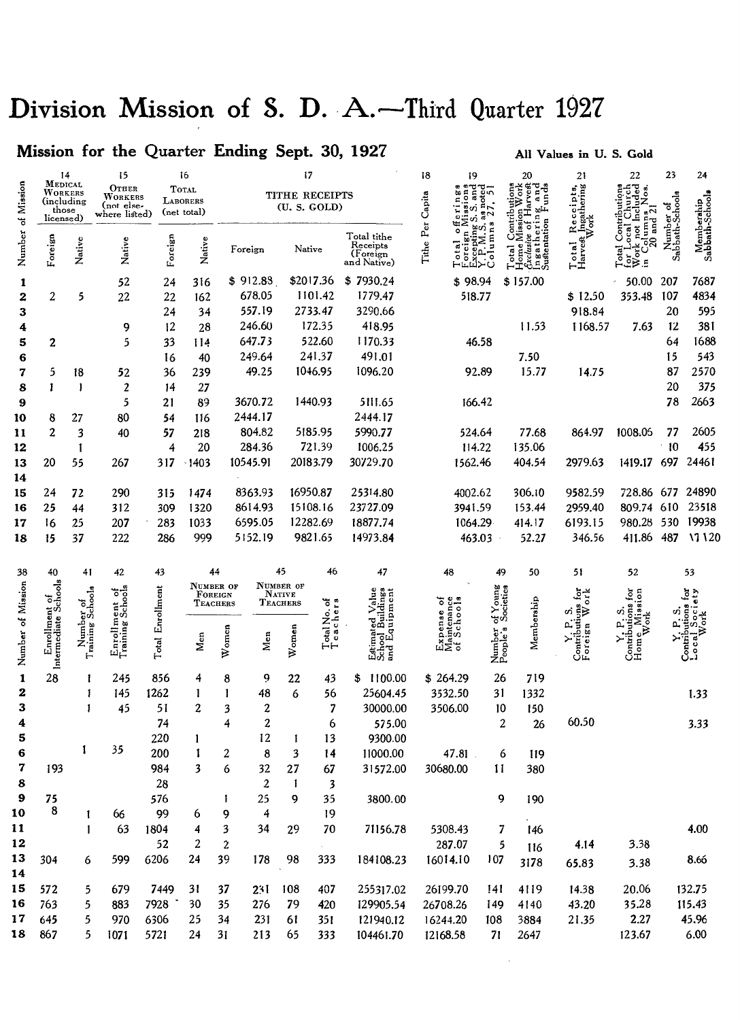# Division Mission of S. D. A.-Third Quarter 1927

# Mission for the Quarter Ending Sept. 30, 1927

# All Values in U.S. Gold

|                   | 14                                                     |                               | 15                                              |              | 16                                      |                     |                | 17                             |             |                                                    | 18                                     | 19                                      |                       | 20                                             | 21                               | 22                                                                                                            | 23                           | 24                            |
|-------------------|--------------------------------------------------------|-------------------------------|-------------------------------------------------|--------------|-----------------------------------------|---------------------|----------------|--------------------------------|-------------|----------------------------------------------------|----------------------------------------|-----------------------------------------|-----------------------|------------------------------------------------|----------------------------------|---------------------------------------------------------------------------------------------------------------|------------------------------|-------------------------------|
|                   | MEDICAL<br>WORKERS<br>(including<br>those<br>licensed) |                               | OTHER<br>WORKERS<br>(not else-<br>where listed) |              | <b>TOTAL</b><br>LABORERS<br>(net total) |                     |                | TITHE RECEIPTS<br>(U. S. GOLD) |             |                                                    | Capita                                 | and<br>and<br>as noted<br>$27.51$<br>vî |                       | Mission Work<br>ive of Harvest i<br>hering and | Receipts,<br>Ingathering<br>Work | ಕ್ಷ್<br>$\frac{1}{2}$<br>and 21                                                                               |                              |                               |
| Number of Mission | Foreign                                                | Native                        | Native                                          | Foreign      | Native                                  |                     | Foreign        | Native                         |             | Total tithe<br>Receipts<br>(Foreign<br>and Native) | Per<br>Tithe                           | olumna<br>epting<br>ပ                   |                       | Ingatherir<br>Sustentation<br>xclus<br>lome    | Total<br>Harvest                 | not<br>ă<br>S                                                                                                 | Number of<br>Sabbath-Schools | Membership<br>Sabbath-Schools |
| 1                 |                                                        |                               | 52                                              | 24           | 316                                     |                     | \$912.88       | \$2017.36                      |             | \$7930.24                                          |                                        | \$98.94                                 |                       | \$157.00                                       |                                  | 50.00                                                                                                         | 207                          | 7687                          |
| 2                 | $\overline{c}$                                         | 5                             | 22                                              | 22           | 162                                     |                     | 678.05         | 1101.42                        |             | 1779.47                                            |                                        | 518.77                                  |                       |                                                | \$12.50                          | 353.48                                                                                                        | 107                          | 4834                          |
| 3                 |                                                        |                               |                                                 | 24           | 34                                      |                     | 557.19         | 2733.47                        |             | 3290.66                                            |                                        |                                         |                       |                                                | 918.84                           |                                                                                                               | 20                           | 595                           |
| 4                 |                                                        |                               | 9                                               | 12           | 28                                      |                     | 246.60         | 172.35                         |             | 418.95                                             |                                        |                                         |                       | 11.53                                          | 1168.57                          | 7.63                                                                                                          | 12                           | 381                           |
| 5                 | 2                                                      |                               | 5                                               | 33           | 114                                     |                     | 647.73         | 522.60                         |             | 1170.33                                            |                                        | 46.58                                   |                       |                                                |                                  |                                                                                                               | 64                           | 1688                          |
| 6                 |                                                        |                               |                                                 | 16           | 40                                      |                     | 249.64         | 241.37                         |             | 491.01                                             |                                        |                                         |                       | 7.50                                           |                                  |                                                                                                               | 15                           | 543                           |
| 7                 | 5                                                      | 18                            | 52                                              | 36           | 239                                     |                     | 49.25          | 1046.95                        |             | 1096.20                                            |                                        | 92.89                                   |                       | 15.77                                          | 14.75                            |                                                                                                               | 87                           | 2570                          |
| 8                 | 1                                                      | -1                            | $\overline{c}$                                  | 14           | 27                                      |                     |                |                                |             |                                                    |                                        |                                         |                       |                                                |                                  |                                                                                                               | 20                           | 375                           |
| 9                 |                                                        |                               | 5                                               | 21           | 89                                      |                     | 3670.72        | 1440.93                        |             | 5111.65                                            |                                        | 166.42                                  |                       |                                                |                                  |                                                                                                               | 78                           | 2663                          |
| 10                | 8                                                      | 27                            | 80                                              | 54           | 116                                     |                     | 2444.17        |                                |             | 2444.17                                            |                                        |                                         |                       |                                                |                                  |                                                                                                               |                              |                               |
| 11                | $\overline{2}$                                         | 3                             | 40                                              | 57           | 218                                     |                     | 804.82         | 5185.95                        |             | 5990.77                                            |                                        | 524.64                                  |                       | 77.68                                          | 864.97                           | 1008.05                                                                                                       | 77                           | 2605                          |
| 12                |                                                        | 1                             |                                                 | 4            | 20                                      |                     | 284.36         | 721.39                         |             | 1006.25                                            |                                        | 114.22                                  |                       | 135.06                                         |                                  |                                                                                                               | 10                           | 455                           |
| 13                | 20                                                     | 55                            | 267                                             | 317          | $-1403$                                 |                     | 10545.91       | 20183.79                       |             | 30729.70                                           |                                        | 1562.46                                 |                       | 404.54                                         | 2979.63                          | 1419.17                                                                                                       | 697                          | 24461                         |
| 14<br>15          | 24                                                     | 72                            | 290                                             |              |                                         |                     | 8363.93        | 16950.87                       |             | 25314.80                                           |                                        | 4002.62                                 |                       | 306.10                                         | 9582.59                          | 728.86 677                                                                                                    |                              | 24890                         |
| 16                | 25                                                     | 44                            | 312                                             | 315<br>309   | 1474<br>1320                            |                     | 8614.93        | 15108.16                       |             | 23727.09                                           |                                        | 3941.59                                 |                       | 153.44                                         | 2959.40                          | 809.74 610                                                                                                    |                              | 23518                         |
| 17                | 16                                                     | 25                            | 207                                             | 283          | 1033                                    |                     | 6595.05        | 12282.69                       |             | 18877.74                                           |                                        | 1064.29                                 |                       | 414.17                                         | 6193.15                          | 980.28                                                                                                        |                              | 530 19938                     |
| 18                | 15                                                     | 37                            | 222                                             | 286          | 999                                     |                     | 5152.19        | 9821.65                        |             | 14973.84                                           |                                        | $463.03 -$                              |                       | 52.27                                          | 346.56                           |                                                                                                               |                              | 411.86 487 17120              |
|                   |                                                        |                               |                                                 |              |                                         |                     |                |                                |             |                                                    |                                        |                                         |                       |                                                |                                  |                                                                                                               |                              |                               |
| 38                | 40                                                     | 41                            | 42                                              | 43           |                                         | 44                  |                | 45                             | 46          | 47                                                 | 48                                     |                                         | 49                    | 50                                             | 51                               | 52                                                                                                            |                              | 53                            |
|                   |                                                        |                               |                                                 |              |                                         | NUMBER OF           |                | NUMBER OF<br><b>NATIVE</b>     |             |                                                    |                                        |                                         |                       |                                                |                                  |                                                                                                               |                              | $\mathbf{r}$                  |
|                   |                                                        |                               | rent of<br>Schools                              | Enrolment    |                                         | FOREIGN<br>TEACHERS |                | <b>TEACHERS</b>                |             |                                                    | Expense of<br>Aaintenance<br>f Schools |                                         | of Young<br>Societies |                                                | Ĵ¤<br><b>S</b><br>្រី<br>ខ្លុង   |                                                                                                               |                              | ciety                         |
|                   |                                                        |                               |                                                 |              |                                         |                     |                |                                | otal No. of |                                                    |                                        |                                         |                       |                                                | m                                |                                                                                                               |                              |                               |
| Number of Mission |                                                        |                               |                                                 |              |                                         |                     |                |                                |             |                                                    |                                        |                                         |                       |                                                |                                  |                                                                                                               |                              |                               |
|                   |                                                        |                               |                                                 |              |                                         |                     |                |                                |             |                                                    |                                        |                                         |                       |                                                |                                  |                                                                                                               |                              |                               |
|                   |                                                        | Number of<br>Training Schools |                                                 | $\rm Total$  | $M_{en}$                                | Women               | Men            | Women                          | ⊢⊢          | Ē<br>혈                                             | చేవిక                                  |                                         |                       | Membership                                     |                                  |                                                                                                               |                              |                               |
|                   | Enrollment of<br>Intermediate Schools                  |                               | Enrollme<br>Training                            |              |                                         |                     |                |                                |             | सुन्दे हैं<br>सुरुष ब                              |                                        |                                         | Number<br>People's    |                                                | Contribution<br>Foreign          | $\begin{array}{l} \text{Continians for}\\ \text{Home Mission}\\ \text{Home Mission}\\ \text{Wok} \end{array}$ |                              | င္ပ်ဳိး                       |
| 1                 | 28                                                     | 1                             | 245                                             | 856          | 4                                       | 8                   | 9              | 22                             | 43          | 1100.00<br>\$                                      | \$264.29                               |                                         | 26                    | 719                                            |                                  |                                                                                                               |                              |                               |
| 2                 |                                                        | 1                             | 145                                             | 1262         | 1                                       | 1                   | 48             | 6                              | 56          | 25604.45                                           | 3532.50                                |                                         | 31                    | 1332                                           |                                  |                                                                                                               |                              | 1.33                          |
| 3                 |                                                        | 1                             | 45                                              | 51           | 2                                       | 3                   | 2              |                                | 7           | 30000.00                                           | 3506.00                                |                                         | 10                    | 150                                            |                                  |                                                                                                               |                              |                               |
| 4                 |                                                        |                               |                                                 | 74           |                                         | 4                   | 2              |                                | 6           | 575.00                                             |                                        |                                         | 2                     | 26                                             | 60.50                            |                                                                                                               |                              | 3.33                          |
| 5<br>6            |                                                        | 1                             | 35                                              | 220          | 1<br>1                                  |                     | 12             | 1                              | 13<br>14    | 9300.00<br>11000.00                                |                                        |                                         |                       |                                                |                                  |                                                                                                               |                              |                               |
| 7                 | 193                                                    |                               |                                                 | 200<br>984   | 3                                       | 2<br>6              | 8<br>32        | 3<br>27                        | 67          | 31572.00                                           | 30680.00                               | 47.81                                   | 6<br>11               | 119<br>380                                     |                                  |                                                                                                               |                              |                               |
| 8                 |                                                        |                               |                                                 | 28           |                                         |                     | $\overline{2}$ | 1                              | 3           |                                                    |                                        |                                         |                       |                                                |                                  |                                                                                                               |                              |                               |
| 9                 | 75                                                     |                               |                                                 | 576          |                                         | 1                   | 25             | 9                              | 35          | 3800.00                                            |                                        |                                         | 9                     | 190                                            |                                  |                                                                                                               |                              |                               |
| 10                | 8                                                      | I                             | 66                                              | 99           | 6                                       | 9                   | 4              |                                | 19          |                                                    |                                        |                                         |                       |                                                |                                  |                                                                                                               |                              |                               |
| 11                |                                                        | 1                             | 63                                              | 1804         | 4                                       | 3                   | 34             | 29                             | 70          | 71156.78                                           | 5308.43                                |                                         | 7                     | 146                                            |                                  |                                                                                                               |                              | 4.00                          |
| 12                |                                                        |                               |                                                 | 52           | 2                                       | 2                   |                |                                |             |                                                    | 287.07                                 |                                         | 5                     | 116                                            | 4.14                             | 3.38                                                                                                          |                              |                               |
| 13                | 304                                                    | 6                             | 599                                             | 6206         | 24                                      | 39                  | 178            | 98                             | 333         | 184108.23                                          | 16014.10                               |                                         | 107                   | 3178                                           | 65.83                            | 3.38                                                                                                          |                              | 8.66                          |
| 14                |                                                        |                               |                                                 |              |                                         |                     |                |                                |             |                                                    |                                        |                                         |                       |                                                |                                  |                                                                                                               |                              |                               |
| 15                | 572                                                    | 5                             | 679                                             | 7449         | 31                                      | 37                  | 231            | 108                            | 407         | 255317.02                                          | 26199.70                               |                                         | 141                   | 4119                                           | 14.38                            | 20.06                                                                                                         |                              | 132.75                        |
| 16                | 763                                                    | 5                             | 883                                             | 7928         | 30                                      | 35                  | 276            | 79                             | 420         | 129905.54                                          | 26708.26                               |                                         | 149                   | 4140                                           | 43.20                            | 35.28                                                                                                         |                              | 115.43                        |
| 17<br>18          | 645<br>867                                             | 5<br>5                        | 970<br>1071                                     | 6306<br>5721 | 25<br>24                                | 34<br>31            | 231<br>213     | 61<br>65                       | 351<br>333  | 121940.12<br>104461.70                             | 16244.20<br>12168.58                   | 108                                     | 71                    | 3884<br>2647                                   | 21.35                            | 2.27<br>123.67                                                                                                |                              | 45.96<br>6.00                 |

 $\cdot$